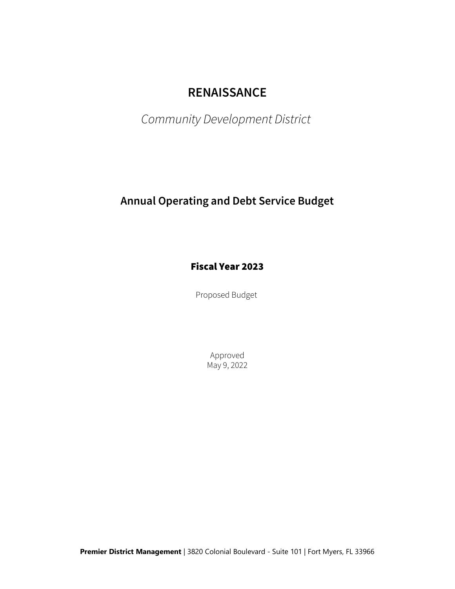# RENAISSANCE

Community Development District

## Annual Operating and Debt Service Budget

### Fiscal Year 2023

Proposed Budget

Approved May 9, 2022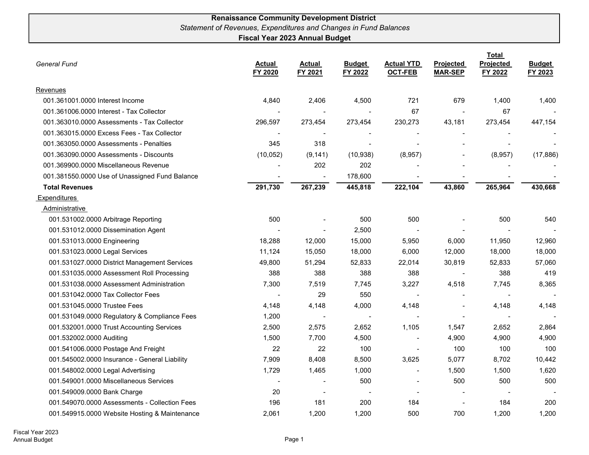#### Renaissance Community Development District Statement of Revenues, Expenditures and Changes in Fund Balances Fiscal Year 2023 Annual Budget

| <b>General Fund</b>                            | <b>Actual</b><br>FY 2020 | <b>Actual</b><br>FY 2021 | <b>Budget</b><br>FY 2022 | <b>Actual YTD</b><br><b>OCT-FEB</b> | <b>Projected</b><br><b>MAR-SEP</b> | <b>Total</b><br>Projected<br>FY 2022 | <b>Budget</b><br>FY 2023 |
|------------------------------------------------|--------------------------|--------------------------|--------------------------|-------------------------------------|------------------------------------|--------------------------------------|--------------------------|
| Revenues                                       |                          |                          |                          |                                     |                                    |                                      |                          |
| 001.361001.0000 Interest Income                | 4,840                    | 2,406                    | 4,500                    | 721                                 | 679                                | 1,400                                | 1,400                    |
| 001.361006.0000 Interest - Tax Collector       |                          | $\overline{\phantom{a}}$ |                          | 67                                  |                                    | 67                                   |                          |
| 001.363010.0000 Assessments - Tax Collector    | 296,597                  | 273,454                  | 273,454                  | 230,273                             | 43,181                             | 273,454                              | 447,154                  |
| 001.363015.0000 Excess Fees - Tax Collector    |                          |                          |                          |                                     |                                    |                                      |                          |
| 001.363050.0000 Assessments - Penalties        | 345                      | 318                      |                          |                                     |                                    |                                      |                          |
| 001.363090.0000 Assessments - Discounts        | (10, 052)                | (9, 141)                 | (10, 938)                | (8,957)                             |                                    | (8,957)                              | (17, 886)                |
| 001.369900.0000 Miscellaneous Revenue          |                          | 202                      | 202                      |                                     |                                    |                                      |                          |
| 001.381550.0000 Use of Unassigned Fund Balance |                          |                          | 178,600                  |                                     |                                    |                                      |                          |
| <b>Total Revenues</b>                          | 291,730                  | 267,239                  | 445,818                  | 222,104                             | 43,860                             | 265,964                              | 430,668                  |
| Expenditures                                   |                          |                          |                          |                                     |                                    |                                      |                          |
| Administrative                                 |                          |                          |                          |                                     |                                    |                                      |                          |
| 001.531002.0000 Arbitrage Reporting            | 500                      |                          | 500                      | 500                                 |                                    | 500                                  | 540                      |
| 001.531012.0000 Dissemination Agent            |                          | $\sim$                   | 2,500                    |                                     |                                    |                                      |                          |
| 001.531013.0000 Engineering                    | 18,288                   | 12,000                   | 15,000                   | 5,950                               | 6,000                              | 11,950                               | 12,960                   |
| 001.531023.0000 Legal Services                 | 11,124                   | 15,050                   | 18,000                   | 6,000                               | 12,000                             | 18,000                               | 18,000                   |
| 001.531027.0000 District Management Services   | 49,800                   | 51,294                   | 52,833                   | 22,014                              | 30,819                             | 52,833                               | 57,060                   |
| 001.531035.0000 Assessment Roll Processing     | 388                      | 388                      | 388                      | 388                                 | $\overline{\phantom{a}}$           | 388                                  | 419                      |
| 001.531038.0000 Assessment Administration      | 7,300                    | 7,519                    | 7,745                    | 3,227                               | 4,518                              | 7,745                                | 8,365                    |
| 001.531042.0000 Tax Collector Fees             | $\blacksquare$           | 29                       | 550                      | $\blacksquare$                      |                                    |                                      | $\overline{\phantom{a}}$ |
| 001.531045.0000 Trustee Fees                   | 4,148                    | 4,148                    | 4,000                    | 4,148                               |                                    | 4,148                                | 4,148                    |
| 001.531049.0000 Regulatory & Compliance Fees   | 1,200                    | $\blacksquare$           |                          |                                     | $\sim$                             |                                      |                          |
| 001.532001.0000 Trust Accounting Services      | 2,500                    | 2,575                    | 2,652                    | 1,105                               | 1,547                              | 2,652                                | 2,864                    |
| 001.532002.0000 Auditing                       | 1,500                    | 7,700                    | 4,500                    |                                     | 4,900                              | 4,900                                | 4,900                    |
| 001.541006.0000 Postage And Freight            | 22                       | 22                       | 100                      |                                     | 100                                | 100                                  | 100                      |
| 001.545002.0000 Insurance - General Liability  | 7,909                    | 8,408                    | 8,500                    | 3,625                               | 5,077                              | 8,702                                | 10,442                   |
| 001.548002.0000 Legal Advertising              | 1,729                    | 1,465                    | 1,000                    |                                     | 1,500                              | 1,500                                | 1,620                    |
| 001.549001.0000 Miscellaneous Services         |                          | $\blacksquare$           | 500                      |                                     | 500                                | 500                                  | 500                      |
| 001.549009.0000 Bank Charge                    | 20                       | $\overline{\phantom{a}}$ |                          |                                     |                                    |                                      |                          |
| 001.549070.0000 Assessments - Collection Fees  | 196                      | 181                      | 200                      | 184                                 |                                    | 184                                  | 200                      |
| 001.549915.0000 Website Hosting & Maintenance  | 2,061                    | 1.200                    | 1,200                    | 500                                 | 700                                | 1,200                                | 1,200                    |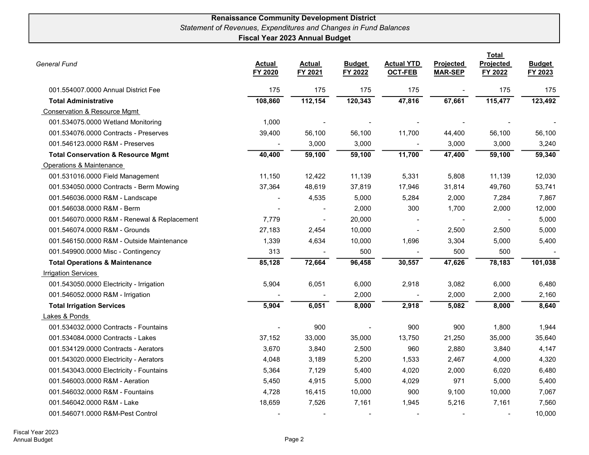#### Renaissance Community Development District Statement of Revenues, Expenditures and Changes in Fund Balances Fiscal Year 2023 Annual Budget

| General Fund                                  | <b>Actual</b><br>FY 2020 | <b>Actual</b><br>FY 2021 | <b>Budget</b><br>FY 2022 | <b>Actual YTD</b><br><b>OCT-FEB</b> | Projected<br><b>MAR-SEP</b> | <b>Total</b><br>Projected<br>FY 2022 | <b>Budget</b><br>FY 2023 |
|-----------------------------------------------|--------------------------|--------------------------|--------------------------|-------------------------------------|-----------------------------|--------------------------------------|--------------------------|
| 001.554007.0000 Annual District Fee           | 175                      | 175                      | 175                      | 175                                 |                             | 175                                  | 175                      |
| <b>Total Administrative</b>                   | 108,860                  | 112,154                  | 120,343                  | 47,816                              | 67,661                      | 115,477                              | 123,492                  |
| <b>Conservation &amp; Resource Mgmt</b>       |                          |                          |                          |                                     |                             |                                      |                          |
| 001.534075.0000 Wetland Monitoring            | 1,000                    | $\blacksquare$           |                          |                                     | $\overline{\phantom{a}}$    |                                      |                          |
| 001.534076.0000 Contracts - Preserves         | 39,400                   | 56,100                   | 56,100                   | 11,700                              | 44,400                      | 56,100                               | 56,100                   |
| 001.546123.0000 R&M - Preserves               |                          | 3,000                    | 3,000                    |                                     | 3,000                       | 3,000                                | 3,240                    |
| <b>Total Conservation &amp; Resource Mgmt</b> | 40,400                   | 59,100                   | 59,100                   | 11,700                              | 47,400                      | 59,100                               | 59,340                   |
| Operations & Maintenance                      |                          |                          |                          |                                     |                             |                                      |                          |
| 001.531016.0000 Field Management              | 11,150                   | 12,422                   | 11,139                   | 5,331                               | 5,808                       | 11,139                               | 12,030                   |
| 001.534050.0000 Contracts - Berm Mowing       | 37,364                   | 48,619                   | 37,819                   | 17,946                              | 31,814                      | 49,760                               | 53,741                   |
| 001.546036.0000 R&M - Landscape               |                          | 4,535                    | 5,000                    | 5,284                               | 2,000                       | 7,284                                | 7,867                    |
| 001.546038.0000 R&M - Berm                    |                          |                          | 2,000                    | 300                                 | 1,700                       | 2,000                                | 12,000                   |
| 001.546070.0000 R&M - Renewal & Replacement   | 7,779                    | $\blacksquare$           | 20,000                   |                                     | $\overline{\phantom{a}}$    |                                      | 5,000                    |
| 001.546074.0000 R&M - Grounds                 | 27,183                   | 2,454                    | 10,000                   | $\overline{a}$                      | 2,500                       | 2,500                                | 5,000                    |
| 001.546150.0000 R&M - Outside Maintenance     | 1,339                    | 4,634                    | 10,000                   | 1,696                               | 3,304                       | 5,000                                | 5,400                    |
| 001.549900.0000 Misc - Contingency            | 313                      |                          | 500                      |                                     | 500                         | 500                                  |                          |
| <b>Total Operations &amp; Maintenance</b>     | 85,128                   | 72,664                   | 96,458                   | 30,557                              | 47,626                      | 78,183                               | 101,038                  |
| <b>Irrigation Services</b>                    |                          |                          |                          |                                     |                             |                                      |                          |
| 001.543050.0000 Electricity - Irrigation      | 5,904                    | 6,051                    | 6,000                    | 2,918                               | 3,082                       | 6,000                                | 6,480                    |
| 001.546052.0000 R&M - Irrigation              |                          |                          | 2,000                    |                                     | 2,000                       | 2,000                                | 2,160                    |
| <b>Total Irrigation Services</b>              | 5,904                    | 6,051                    | 8,000                    | 2,918                               | 5,082                       | 8,000                                | 8,640                    |
| Lakes & Ponds                                 |                          |                          |                          |                                     |                             |                                      |                          |
| 001.534032.0000 Contracts - Fountains         |                          | 900                      |                          | 900                                 | 900                         | 1,800                                | 1,944                    |
| 001.534084.0000 Contracts - Lakes             | 37,152                   | 33,000                   | 35,000                   | 13,750                              | 21,250                      | 35,000                               | 35,640                   |
| 001.534129.0000 Contracts - Aerators          | 3,670                    | 3,840                    | 2,500                    | 960                                 | 2,880                       | 3,840                                | 4,147                    |
| 001.543020.0000 Electricity - Aerators        | 4,048                    | 3,189                    | 5,200                    | 1,533                               | 2,467                       | 4,000                                | 4,320                    |
| 001.543043.0000 Electricity - Fountains       | 5,364                    | 7,129                    | 5,400                    | 4,020                               | 2,000                       | 6,020                                | 6,480                    |
| 001.546003.0000 R&M - Aeration                | 5,450                    | 4,915                    | 5,000                    | 4,029                               | 971                         | 5,000                                | 5,400                    |
| 001.546032.0000 R&M - Fountains               | 4,728                    | 16,415                   | 10,000                   | 900                                 | 9,100                       | 10,000                               | 7,067                    |
| 001.546042.0000 R&M - Lake                    | 18,659                   | 7,526                    | 7,161                    | 1,945                               | 5,216                       | 7,161                                | 7,560                    |
| 001.546071.0000 R&M-Pest Control              |                          |                          |                          |                                     |                             |                                      | 10,000                   |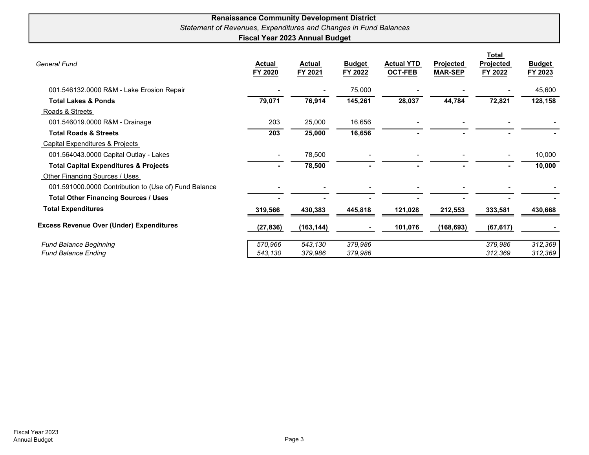#### Renaissance Community Development District Statement of Revenues, Expenditures and Changes in Fund Balances Fiscal Year 2023 Annual Budget

| <b>General Fund</b>                                   | Actual<br>FY 2020        | Actual<br>FY 2021 | <b>Budget</b><br>FY 2022 | <b>Actual YTD</b><br><b>OCT-FEB</b> | <b>Projected</b><br><b>MAR-SEP</b> | <b>Total</b><br>Projected<br>FY 2022 | <b>Budget</b><br>FY 2023 |
|-------------------------------------------------------|--------------------------|-------------------|--------------------------|-------------------------------------|------------------------------------|--------------------------------------|--------------------------|
| 001.546132.0000 R&M - Lake Erosion Repair             |                          |                   | 75,000                   |                                     |                                    |                                      | 45,600                   |
| <b>Total Lakes &amp; Ponds</b>                        | 79,071                   | 76,914            | 145,261                  | 28,037                              | 44,784                             | 72,821                               | 128,158                  |
| Roads & Streets                                       |                          |                   |                          |                                     |                                    |                                      |                          |
| 001.546019.0000 R&M - Drainage                        | 203                      | 25,000            | 16,656                   |                                     |                                    |                                      |                          |
| <b>Total Roads &amp; Streets</b>                      | 203                      | 25,000            | 16,656                   |                                     |                                    |                                      |                          |
| <b>Capital Expenditures &amp; Projects</b>            |                          |                   |                          |                                     |                                    |                                      |                          |
| 001.564043.0000 Capital Outlay - Lakes                | $\overline{\phantom{a}}$ | 78,500            |                          |                                     |                                    |                                      | 10,000                   |
| <b>Total Capital Expenditures &amp; Projects</b>      |                          | 78,500            |                          |                                     |                                    |                                      | 10,000                   |
| Other Financing Sources / Uses                        |                          |                   |                          |                                     |                                    |                                      |                          |
| 001.591000.0000 Contribution to (Use of) Fund Balance |                          |                   |                          |                                     |                                    |                                      |                          |
| <b>Total Other Financing Sources / Uses</b>           |                          |                   |                          |                                     |                                    |                                      |                          |
| <b>Total Expenditures</b>                             | 319,566                  | 430,383           | 445,818                  | 121,028                             | 212,553                            | 333,581                              | 430,668                  |
| <b>Excess Revenue Over (Under) Expenditures</b>       | (27, 836)                | (163, 144)        |                          | 101,076                             | (168, 693)                         | (67, 617)                            |                          |
| <b>Fund Balance Beginning</b>                         | 570,966                  | 543,130           | 379,986                  |                                     |                                    | 379,986                              | 312,369                  |
| <b>Fund Balance Ending</b>                            | 543,130                  | 379,986           | 379,986                  |                                     |                                    | 312,369                              | 312,369                  |